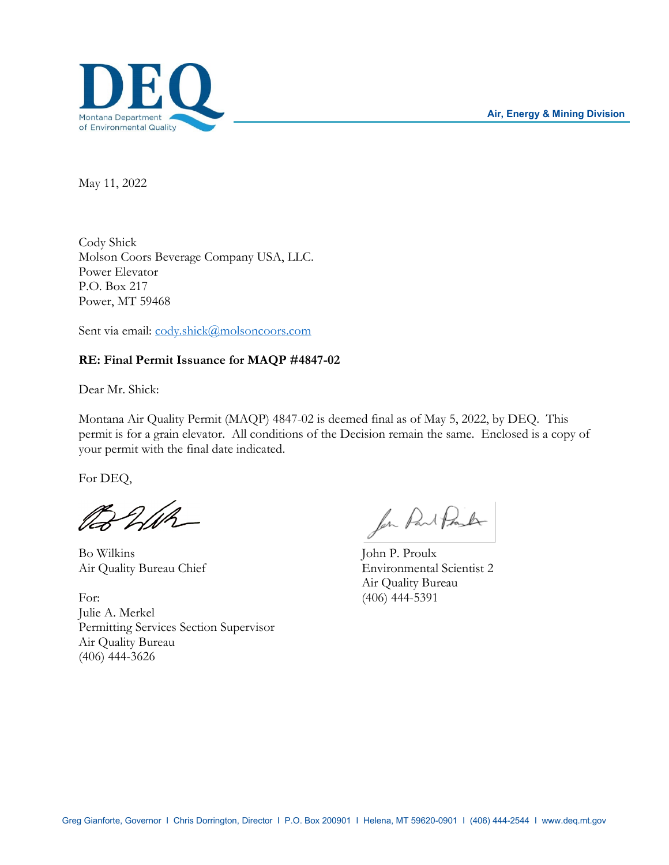

May 11, 2022

Cody Shick Molson Coors Beverage Company USA, LLC. Power Elevator P.O. Box 217 Power, MT 59468

Sent via email: cody.shick@molsoncoors.com

## **RE: Final Permit Issuance for MAQP #4847-02**

Dear Mr. Shick:

Montana Air Quality Permit (MAQP) 4847-02 is deemed final as of May 5, 2022, by DEQ. This permit is for a grain elevator. All conditions of the Decision remain the same. Enclosed is a copy of your permit with the final date indicated.

For DEQ,

BhWh

Bo Wilkins John P. Proulx

For: (406) 444-5391 Julie A. Merkel Permitting Services Section Supervisor Air Quality Bureau (406) 444-3626

for Part Proster

Air Quality Bureau Chief Environmental Scientist 2 Air Quality Bureau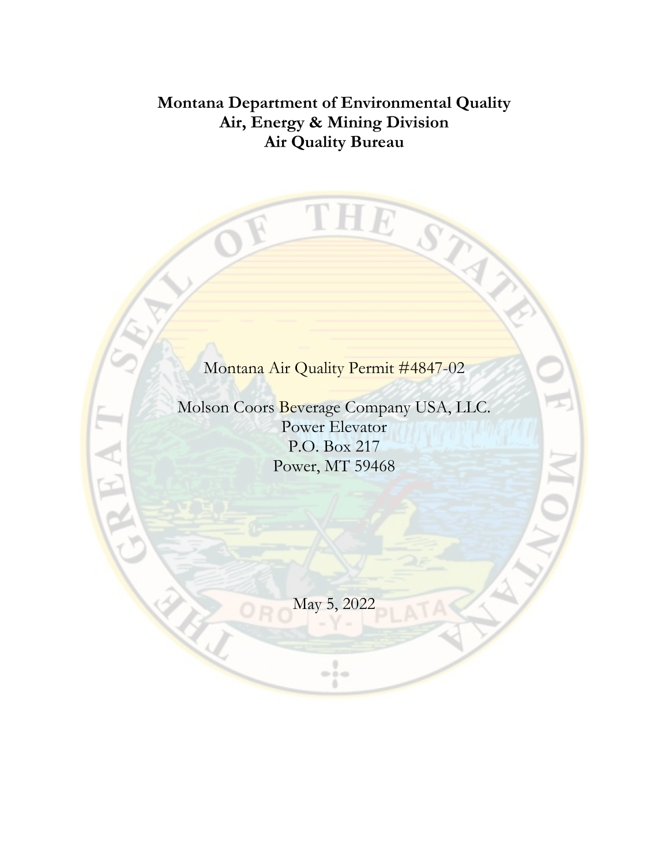# **Montana Department of Environmental Quality Air, Energy & Mining Division Air Quality Bureau**

THE

S. R. R. R.

# Montana Air Quality Permit #4847-02

Molson Coors Beverage Company USA, LLC. Power Elevator P.O. Box 217 Power, MT 59468

May 5, 2022

 $\frac{1}{2}$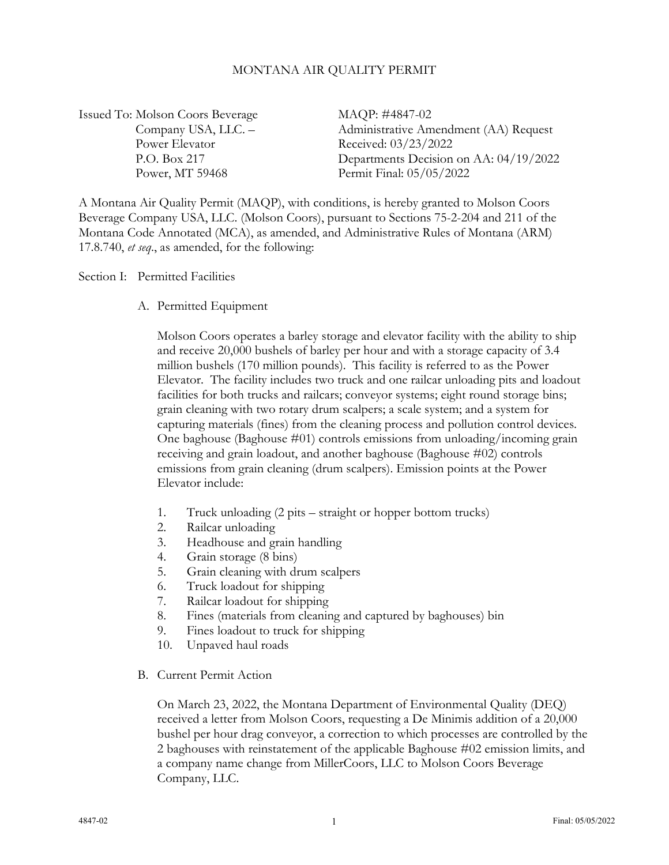#### MONTANA AIR QUALITY PERMIT

Issued To: Molson Coors Beverage MAQP: #4847-02 Power Elevator Received: 03/23/2022

 Company USA, LLC. – Administrative Amendment (AA) Request P.O. Box 217 Departments Decision on AA: 04/19/2022 Power, MT 59468 Permit Final: 05/05/2022

A Montana Air Quality Permit (MAQP), with conditions, is hereby granted to Molson Coors Beverage Company USA, LLC. (Molson Coors), pursuant to Sections 75-2-204 and 211 of the Montana Code Annotated (MCA), as amended, and Administrative Rules of Montana (ARM) 17.8.740, *et seq*., as amended, for the following:

Section I: Permitted Facilities

A. Permitted Equipment

Molson Coors operates a barley storage and elevator facility with the ability to ship and receive 20,000 bushels of barley per hour and with a storage capacity of 3.4 million bushels (170 million pounds). This facility is referred to as the Power Elevator. The facility includes two truck and one railcar unloading pits and loadout facilities for both trucks and railcars; conveyor systems; eight round storage bins; grain cleaning with two rotary drum scalpers; a scale system; and a system for capturing materials (fines) from the cleaning process and pollution control devices. One baghouse (Baghouse  $\#01$ ) controls emissions from unloading/incoming grain receiving and grain loadout, and another baghouse (Baghouse #02) controls emissions from grain cleaning (drum scalpers). Emission points at the Power Elevator include:

- 1. Truck unloading (2 pits straight or hopper bottom trucks)
- 2. Railcar unloading
- 3. Headhouse and grain handling
- 4. Grain storage (8 bins)
- 5. Grain cleaning with drum scalpers
- 6. Truck loadout for shipping
- 7. Railcar loadout for shipping
- 8. Fines (materials from cleaning and captured by baghouses) bin
- 9. Fines loadout to truck for shipping
- 10. Unpaved haul roads
- B. Current Permit Action

On March 23, 2022, the Montana Department of Environmental Quality (DEQ) received a letter from Molson Coors, requesting a De Minimis addition of a 20,000 bushel per hour drag conveyor, a correction to which processes are controlled by the 2 baghouses with reinstatement of the applicable Baghouse #02 emission limits, and a company name change from MillerCoors, LLC to Molson Coors Beverage Company, LLC.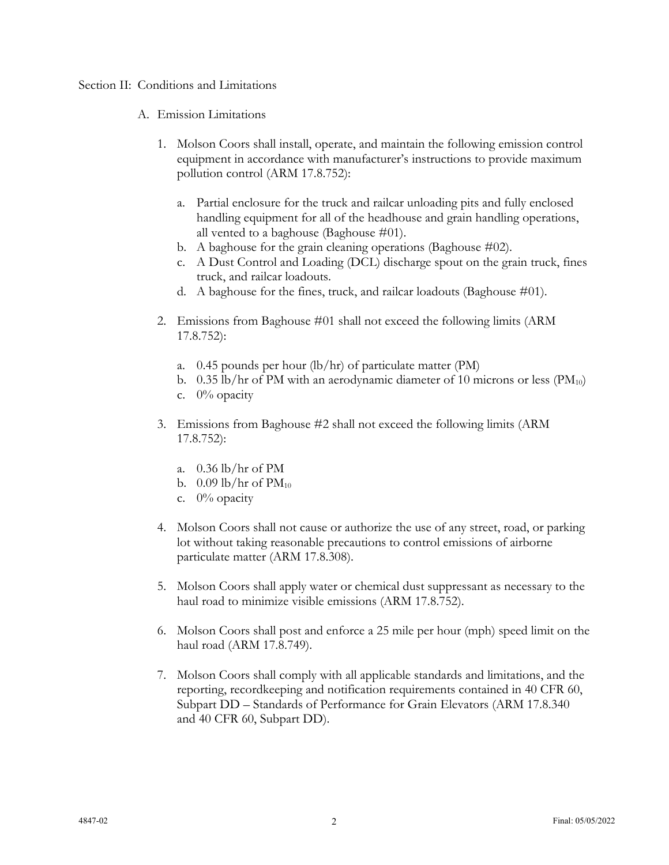#### Section II: Conditions and Limitations

- A. Emission Limitations
	- 1. Molson Coors shall install, operate, and maintain the following emission control equipment in accordance with manufacturer's instructions to provide maximum pollution control (ARM 17.8.752):
		- a. Partial enclosure for the truck and railcar unloading pits and fully enclosed handling equipment for all of the headhouse and grain handling operations, all vented to a baghouse (Baghouse #01).
		- b. A baghouse for the grain cleaning operations (Baghouse #02).
		- c. A Dust Control and Loading (DCL) discharge spout on the grain truck, fines truck, and railcar loadouts.
		- d. A baghouse for the fines, truck, and railcar loadouts (Baghouse #01).
	- 2. Emissions from Baghouse #01 shall not exceed the following limits (ARM 17.8.752):
		- a. 0.45 pounds per hour (lb/hr) of particulate matter (PM)
		- b. 0.35 lb/hr of PM with an aerodynamic diameter of 10 microns or less  $(PM_{10})$
		- c. 0% opacity
	- 3. Emissions from Baghouse #2 shall not exceed the following limits (ARM 17.8.752):
		- a. 0.36 lb/hr of PM
		- b.  $0.09 \text{ lb/hr of PM}_{10}$
		- c.  $0\%$  opacity
	- 4. Molson Coors shall not cause or authorize the use of any street, road, or parking lot without taking reasonable precautions to control emissions of airborne particulate matter (ARM 17.8.308).
	- 5. Molson Coors shall apply water or chemical dust suppressant as necessary to the haul road to minimize visible emissions (ARM 17.8.752).
	- 6. Molson Coors shall post and enforce a 25 mile per hour (mph) speed limit on the haul road (ARM 17.8.749).
	- 7. Molson Coors shall comply with all applicable standards and limitations, and the reporting, recordkeeping and notification requirements contained in 40 CFR 60, Subpart DD – Standards of Performance for Grain Elevators (ARM 17.8.340 and 40 CFR 60, Subpart DD).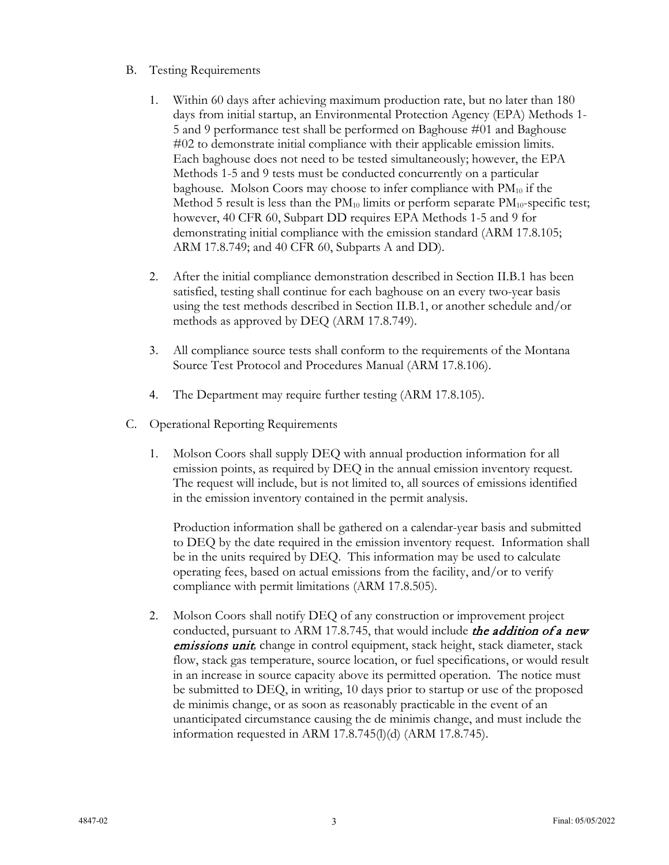- <span id="page-4-0"></span>B. Testing Requirements
	- 1. Within 60 days after achieving maximum production rate, but no later than 180 days from initial startup, an Environmental Protection Agency (EPA) Methods 1- 5 and 9 performance test shall be performed on Baghouse #01 and Baghouse #02 to demonstrate initial compliance with their applicable emission limits. Each baghouse does not need to be tested simultaneously; however, the EPA Methods 1-5 and 9 tests must be conducted concurrently on a particular baghouse. Molson Coors may choose to infer compliance with  $PM_{10}$  if the Method 5 result is less than the  $PM_{10}$  limits or perform separate  $PM_{10}$ -specific test; however, 40 CFR 60, Subpart DD requires EPA Methods 1-5 and 9 for demonstrating initial compliance with the emission standard (ARM 17.8.105; ARM 17.8.749; and 40 CFR 60, Subparts A and DD).
	- 2. After the initial compliance demonstration described in Section II.B[.1](#page-4-0) has been satisfied, testing shall continue for each baghouse on an every two-year basis using the test methods described in Section II.[B.1,](#page-4-0) or another schedule and/or methods as approved by DEQ (ARM 17.8.749).
	- 3. All compliance source tests shall conform to the requirements of the Montana Source Test Protocol and Procedures Manual (ARM 17.8.106).
	- 4. The Department may require further testing (ARM 17.8.105).
- C. Operational Reporting Requirements
	- 1. Molson Coors shall supply DEQ with annual production information for all emission points, as required by DEQ in the annual emission inventory request. The request will include, but is not limited to, all sources of emissions identified in the emission inventory contained in the permit analysis.

Production information shall be gathered on a calendar-year basis and submitted to DEQ by the date required in the emission inventory request. Information shall be in the units required by DEQ. This information may be used to calculate operating fees, based on actual emissions from the facility, and/or to verify compliance with permit limitations (ARM 17.8.505).

2. Molson Coors shall notify DEQ of any construction or improvement project conducted, pursuant to ARM 17.8.745, that would include the addition of a new emissions unit*,* change in control equipment, stack height, stack diameter, stack flow, stack gas temperature, source location, or fuel specifications, or would result in an increase in source capacity above its permitted operation. The notice must be submitted to DEQ, in writing, 10 days prior to startup or use of the proposed de minimis change, or as soon as reasonably practicable in the event of an unanticipated circumstance causing the de minimis change, and must include the information requested in ARM  $17.8.745(l)(d)$  (ARM  $17.8.745$ ).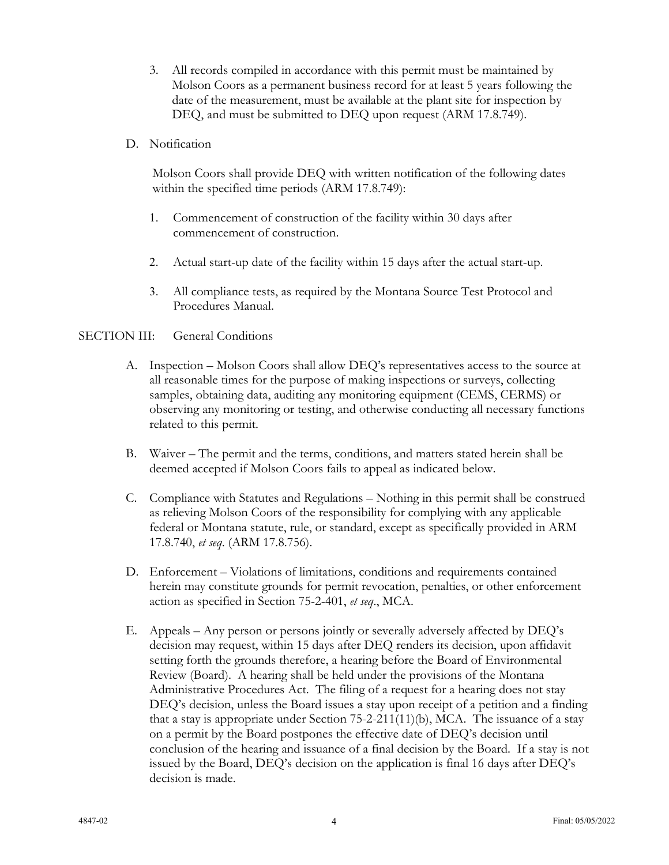- 3. All records compiled in accordance with this permit must be maintained by Molson Coors as a permanent business record for at least 5 years following the date of the measurement, must be available at the plant site for inspection by DEQ, and must be submitted to DEQ upon request (ARM 17.8.749).
- D. Notification

Molson Coors shall provide DEQ with written notification of the following dates within the specified time periods (ARM 17.8.749):

- 1. Commencement of construction of the facility within 30 days after commencement of construction.
- 2. Actual start-up date of the facility within 15 days after the actual start-up.
- 3. All compliance tests, as required by the Montana Source Test Protocol and Procedures Manual.

#### SECTION III: General Conditions

- A. Inspection Molson Coors shall allow DEQ's representatives access to the source at all reasonable times for the purpose of making inspections or surveys, collecting samples, obtaining data, auditing any monitoring equipment (CEMS, CERMS) or observing any monitoring or testing, and otherwise conducting all necessary functions related to this permit.
- B. Waiver The permit and the terms, conditions, and matters stated herein shall be deemed accepted if Molson Coors fails to appeal as indicated below.
- C. Compliance with Statutes and Regulations Nothing in this permit shall be construed as relieving Molson Coors of the responsibility for complying with any applicable federal or Montana statute, rule, or standard, except as specifically provided in ARM 17.8.740, *et seq*. (ARM 17.8.756).
- D. Enforcement Violations of limitations, conditions and requirements contained herein may constitute grounds for permit revocation, penalties, or other enforcement action as specified in Section 75-2-401, *et seq*., MCA.
- E. Appeals Any person or persons jointly or severally adversely affected by DEQ's decision may request, within 15 days after DEQ renders its decision, upon affidavit setting forth the grounds therefore, a hearing before the Board of Environmental Review (Board). A hearing shall be held under the provisions of the Montana Administrative Procedures Act. The filing of a request for a hearing does not stay DEQ's decision, unless the Board issues a stay upon receipt of a petition and a finding that a stay is appropriate under Section  $75-2-211(11)(b)$ , MCA. The issuance of a stay on a permit by the Board postpones the effective date of DEQ's decision until conclusion of the hearing and issuance of a final decision by the Board. If a stay is not issued by the Board, DEQ's decision on the application is final 16 days after DEQ's decision is made.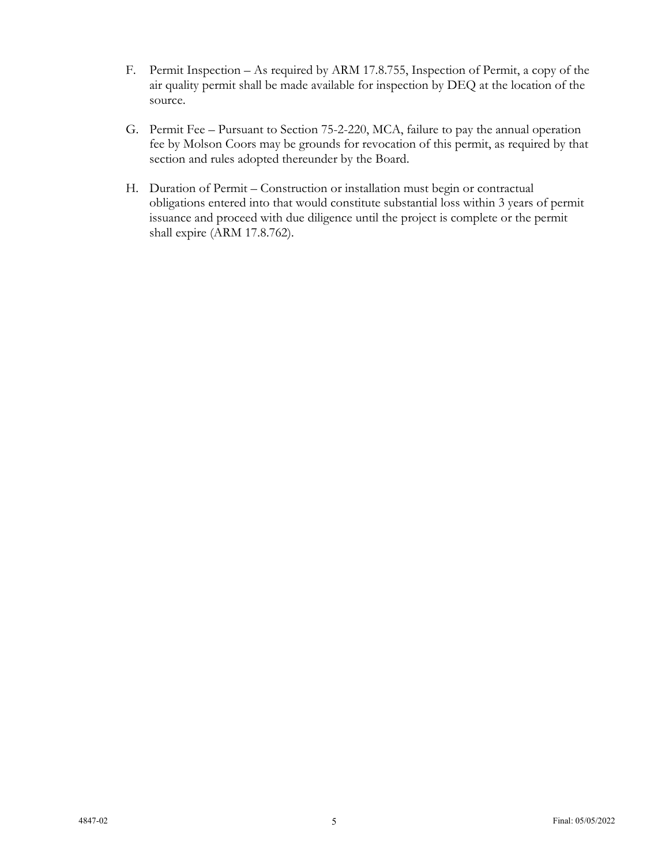- F. Permit Inspection As required by ARM 17.8.755, Inspection of Permit, a copy of the air quality permit shall be made available for inspection by DEQ at the location of the source.
- G. Permit Fee Pursuant to Section 75-2-220, MCA, failure to pay the annual operation fee by Molson Coors may be grounds for revocation of this permit, as required by that section and rules adopted thereunder by the Board.
- H. Duration of Permit Construction or installation must begin or contractual obligations entered into that would constitute substantial loss within 3 years of permit issuance and proceed with due diligence until the project is complete or the permit shall expire (ARM 17.8.762).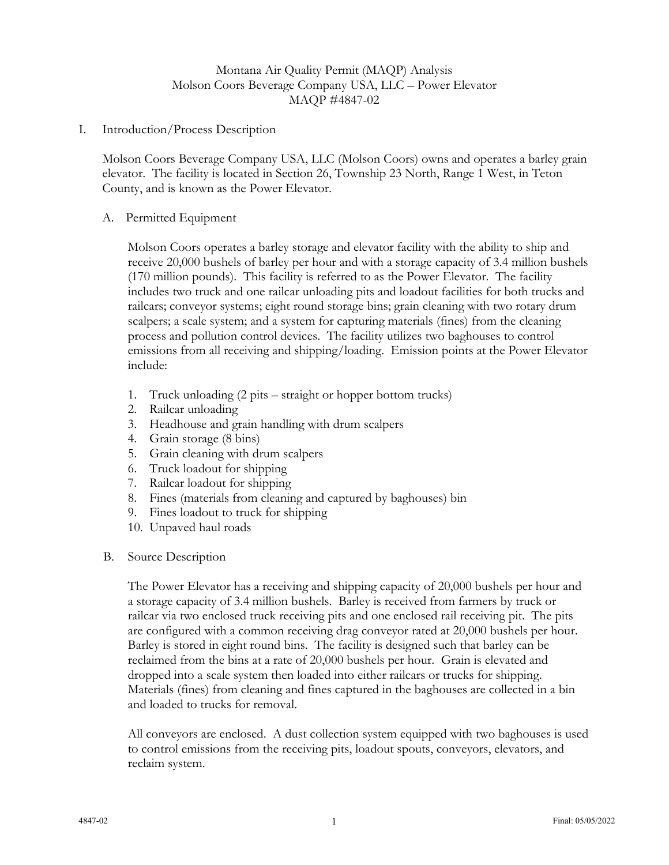# Montana Air Quality Permit (MAQP) Analysis Molson Coors Beverage Company USA, LLC – Power Elevator MAQP #4847-02

I. Introduction/Process Description

Molson Coors Beverage Company USA, LLC (Molson Coors) owns and operates a barley grain elevator. The facility is located in Section 26, Township 23 North, Range 1 West, in Teton County, and is known as the Power Elevator.

A. Permitted Equipment

Molson Coors operates a barley storage and elevator facility with the ability to ship and receive 20,000 bushels of barley per hour and with a storage capacity of 3.4 million bushels (170 million pounds). This facility is referred to as the Power Elevator. The facility includes two truck and one railcar unloading pits and loadout facilities for both trucks and railcars; conveyor systems; eight round storage bins; grain cleaning with two rotary drum scalpers; a scale system; and a system for capturing materials (fines) from the cleaning process and pollution control devices. The facility utilizes two baghouses to control emissions from all receiving and shipping/loading. Emission points at the Power Elevator include:

- 1. Truck unloading (2 pits straight or hopper bottom trucks)
- 2. Railcar unloading
- 3. Headhouse and grain handling with drum scalpers
- 4. Grain storage (8 bins)
- 5. Grain cleaning with drum scalpers
- 6. Truck loadout for shipping
- 7. Railcar loadout for shipping
- 8. Fines (materials from cleaning and captured by baghouses) bin
- 9. Fines loadout to truck for shipping
- 10. Unpaved haul roads
- B. Source Description

The Power Elevator has a receiving and shipping capacity of 20,000 bushels per hour and a storage capacity of 3.4 million bushels. Barley is received from farmers by truck or railcar via two enclosed truck receiving pits and one enclosed rail receiving pit. The pits are configured with a common receiving drag conveyor rated at 20,000 bushels per hour. Barley is stored in eight round bins. The facility is designed such that barley can be reclaimed from the bins at a rate of 20,000 bushels per hour. Grain is elevated and dropped into a scale system then loaded into either railcars or trucks for shipping. Materials (fines) from cleaning and fines captured in the baghouses are collected in a bin and loaded to trucks for removal.

All conveyors are enclosed. A dust collection system equipped with two baghouses is used to control emissions from the receiving pits, loadout spouts, conveyors, elevators, and reclaim system.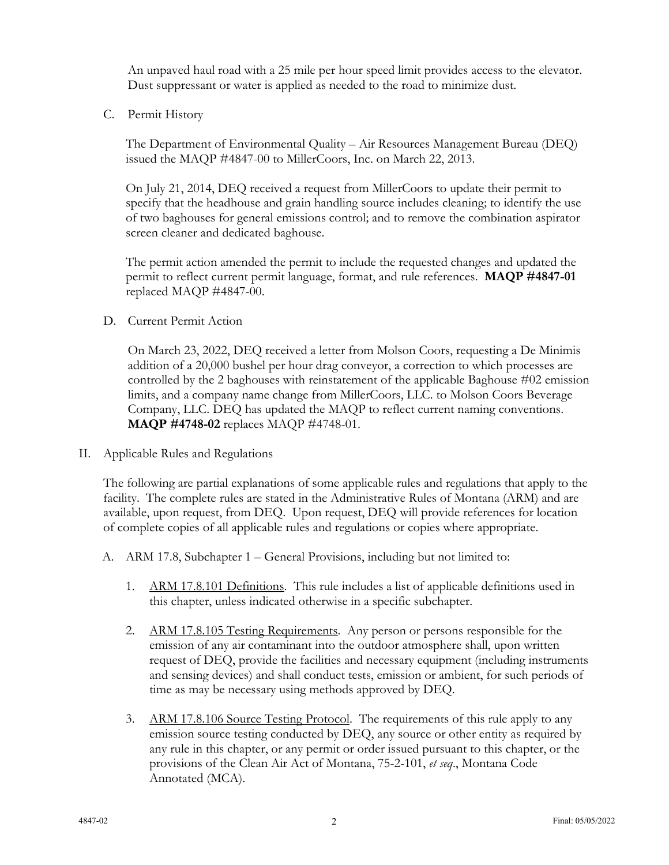An unpaved haul road with a 25 mile per hour speed limit provides access to the elevator. Dust suppressant or water is applied as needed to the road to minimize dust.

C. Permit History

The Department of Environmental Quality – Air Resources Management Bureau (DEQ) issued the MAQP #4847-00 to MillerCoors, Inc. on March 22, 2013.

On July 21, 2014, DEQ received a request from MillerCoors to update their permit to specify that the headhouse and grain handling source includes cleaning; to identify the use of two baghouses for general emissions control; and to remove the combination aspirator screen cleaner and dedicated baghouse.

The permit action amended the permit to include the requested changes and updated the permit to reflect current permit language, format, and rule references. **MAQP #4847-01** replaced MAQP #4847-00.

D. Current Permit Action

On March 23, 2022, DEQ received a letter from Molson Coors, requesting a De Minimis addition of a 20,000 bushel per hour drag conveyor, a correction to which processes are controlled by the 2 baghouses with reinstatement of the applicable Baghouse #02 emission limits, and a company name change from MillerCoors, LLC. to Molson Coors Beverage Company, LLC. DEQ has updated the MAQP to reflect current naming conventions. **MAQP #4748-02** replaces MAQP #4748-01.

II. Applicable Rules and Regulations

The following are partial explanations of some applicable rules and regulations that apply to the facility. The complete rules are stated in the Administrative Rules of Montana (ARM) and are available, upon request, from DEQ. Upon request, DEQ will provide references for location of complete copies of all applicable rules and regulations or copies where appropriate.

- A. ARM 17.8, Subchapter 1 General Provisions, including but not limited to:
	- 1. ARM 17.8.101 Definitions. This rule includes a list of applicable definitions used in this chapter, unless indicated otherwise in a specific subchapter.
	- 2. ARM 17.8.105 Testing Requirements. Any person or persons responsible for the emission of any air contaminant into the outdoor atmosphere shall, upon written request of DEQ, provide the facilities and necessary equipment (including instruments and sensing devices) and shall conduct tests, emission or ambient, for such periods of time as may be necessary using methods approved by DEQ.
	- 3. ARM 17.8.106 Source Testing Protocol. The requirements of this rule apply to any emission source testing conducted by DEQ, any source or other entity as required by any rule in this chapter, or any permit or order issued pursuant to this chapter, or the provisions of the Clean Air Act of Montana, 75-2-101, *et seq*., Montana Code Annotated (MCA).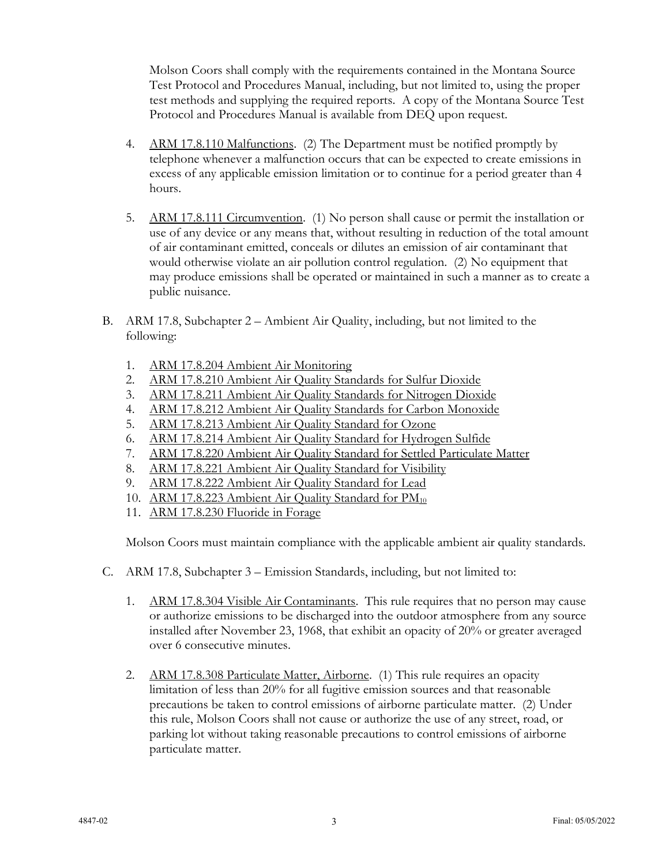Molson Coors shall comply with the requirements contained in the Montana Source Test Protocol and Procedures Manual, including, but not limited to, using the proper test methods and supplying the required reports. A copy of the Montana Source Test Protocol and Procedures Manual is available from DEQ upon request.

- 4. ARM 17.8.110 Malfunctions. (2) The Department must be notified promptly by telephone whenever a malfunction occurs that can be expected to create emissions in excess of any applicable emission limitation or to continue for a period greater than 4 hours.
- 5. ARM 17.8.111 Circumvention. (1) No person shall cause or permit the installation or use of any device or any means that, without resulting in reduction of the total amount of air contaminant emitted, conceals or dilutes an emission of air contaminant that would otherwise violate an air pollution control regulation. (2) No equipment that may produce emissions shall be operated or maintained in such a manner as to create a public nuisance.
- B. ARM 17.8, Subchapter 2 Ambient Air Quality, including, but not limited to the following:
	- 1. ARM 17.8.204 Ambient Air Monitoring
	- 2. ARM 17.8.210 Ambient Air Quality Standards for Sulfur Dioxide
	- 3. ARM 17.8.211 Ambient Air Quality Standards for Nitrogen Dioxide
	- 4. ARM 17.8.212 Ambient Air Quality Standards for Carbon Monoxide
	- 5. ARM 17.8.213 Ambient Air Quality Standard for Ozone
	- 6. ARM 17.8.214 Ambient Air Quality Standard for Hydrogen Sulfide
	- 7. ARM 17.8.220 Ambient Air Quality Standard for Settled Particulate Matter
	- 8. ARM 17.8.221 Ambient Air Quality Standard for Visibility
	- 9. ARM 17.8.222 Ambient Air Quality Standard for Lead
	- 10. ARM 17.8.223 Ambient Air Quality Standard for PM<sub>10</sub>
	- 11. ARM 17.8.230 Fluoride in Forage

Molson Coors must maintain compliance with the applicable ambient air quality standards.

- C. ARM 17.8, Subchapter 3 Emission Standards, including, but not limited to:
	- 1. ARM 17.8.304 Visible Air Contaminants. This rule requires that no person may cause or authorize emissions to be discharged into the outdoor atmosphere from any source installed after November 23, 1968, that exhibit an opacity of 20% or greater averaged over 6 consecutive minutes.
	- 2. ARM 17.8.308 Particulate Matter, Airborne. (1) This rule requires an opacity limitation of less than 20% for all fugitive emission sources and that reasonable precautions be taken to control emissions of airborne particulate matter. (2) Under this rule, Molson Coors shall not cause or authorize the use of any street, road, or parking lot without taking reasonable precautions to control emissions of airborne particulate matter.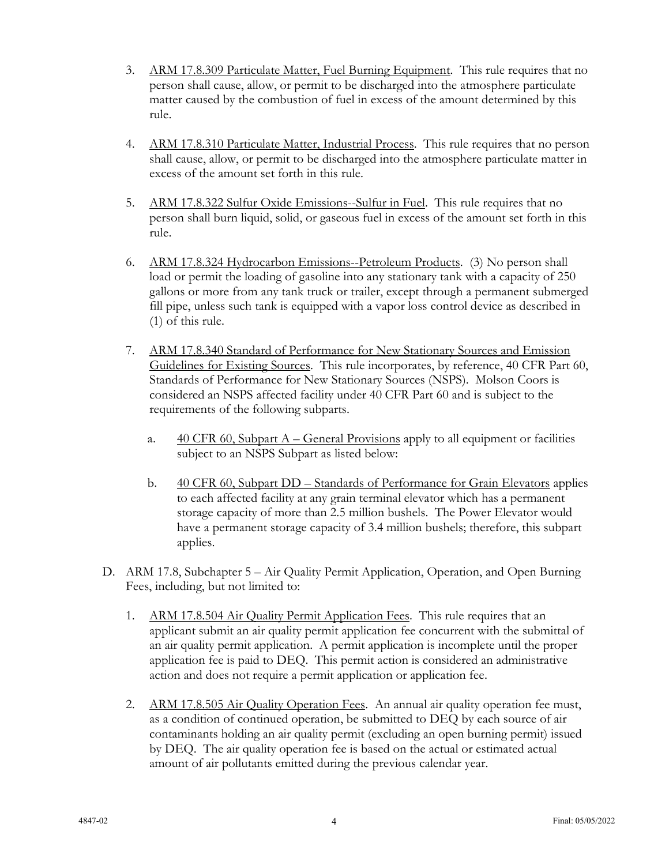- 3. ARM 17.8.309 Particulate Matter, Fuel Burning Equipment. This rule requires that no person shall cause, allow, or permit to be discharged into the atmosphere particulate matter caused by the combustion of fuel in excess of the amount determined by this rule.
- 4. ARM 17.8.310 Particulate Matter, Industrial Process. This rule requires that no person shall cause, allow, or permit to be discharged into the atmosphere particulate matter in excess of the amount set forth in this rule.
- 5. ARM 17.8.322 Sulfur Oxide Emissions--Sulfur in Fuel. This rule requires that no person shall burn liquid, solid, or gaseous fuel in excess of the amount set forth in this rule.
- 6. ARM 17.8.324 Hydrocarbon Emissions--Petroleum Products. (3) No person shall load or permit the loading of gasoline into any stationary tank with a capacity of 250 gallons or more from any tank truck or trailer, except through a permanent submerged fill pipe, unless such tank is equipped with a vapor loss control device as described in (1) of this rule.
- 7. ARM 17.8.340 Standard of Performance for New Stationary Sources and Emission Guidelines for Existing Sources. This rule incorporates, by reference, 40 CFR Part 60, Standards of Performance for New Stationary Sources (NSPS). Molson Coors is considered an NSPS affected facility under 40 CFR Part 60 and is subject to the requirements of the following subparts.
	- a.  $40 \text{ CFR } 60$ , Subpart A General Provisions apply to all equipment or facilities subject to an NSPS Subpart as listed below:
	- b. 40 CFR 60, Subpart DD Standards of Performance for Grain Elevators applies to each affected facility at any grain terminal elevator which has a permanent storage capacity of more than 2.5 million bushels. The Power Elevator would have a permanent storage capacity of 3.4 million bushels; therefore, this subpart applies.
- D. ARM 17.8, Subchapter 5 Air Quality Permit Application, Operation, and Open Burning Fees, including, but not limited to:
	- 1. ARM 17.8.504 Air Quality Permit Application Fees. This rule requires that an applicant submit an air quality permit application fee concurrent with the submittal of an air quality permit application. A permit application is incomplete until the proper application fee is paid to DEQ. This permit action is considered an administrative action and does not require a permit application or application fee.
	- 2. ARM 17.8.505 Air Quality Operation Fees. An annual air quality operation fee must, as a condition of continued operation, be submitted to DEQ by each source of air contaminants holding an air quality permit (excluding an open burning permit) issued by DEQ. The air quality operation fee is based on the actual or estimated actual amount of air pollutants emitted during the previous calendar year.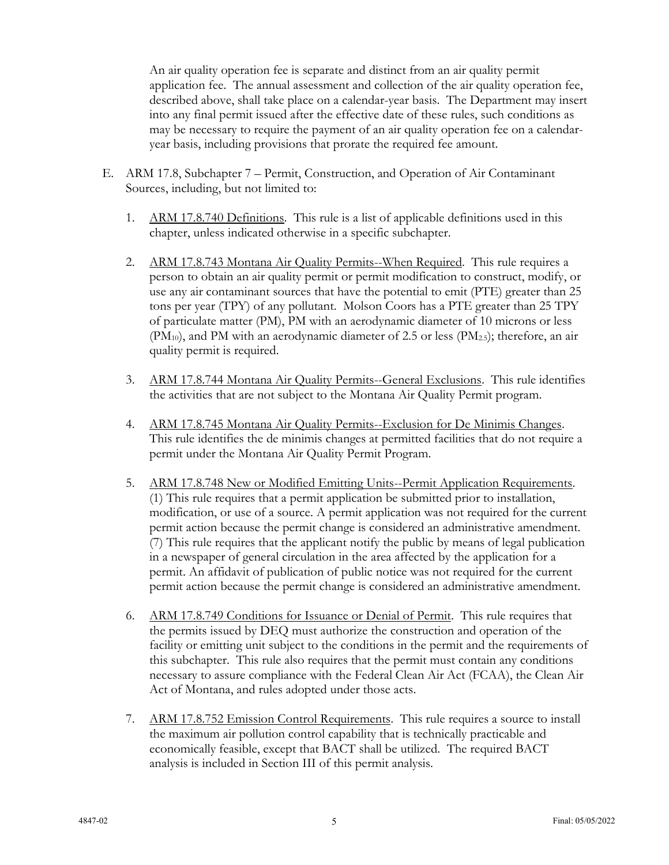An air quality operation fee is separate and distinct from an air quality permit application fee. The annual assessment and collection of the air quality operation fee, described above, shall take place on a calendar-year basis. The Department may insert into any final permit issued after the effective date of these rules, such conditions as may be necessary to require the payment of an air quality operation fee on a calendaryear basis, including provisions that prorate the required fee amount.

- E. ARM 17.8, Subchapter 7 Permit, Construction, and Operation of Air Contaminant Sources, including, but not limited to:
	- 1. ARM 17.8.740 Definitions. This rule is a list of applicable definitions used in this chapter, unless indicated otherwise in a specific subchapter.
	- 2. ARM 17.8.743 Montana Air Quality Permits--When Required. This rule requires a person to obtain an air quality permit or permit modification to construct, modify, or use any air contaminant sources that have the potential to emit (PTE) greater than 25 tons per year (TPY) of any pollutant. Molson Coors has a PTE greater than 25 TPY of particulate matter (PM), PM with an aerodynamic diameter of 10 microns or less  $(PM_{10})$ , and PM with an aerodynamic diameter of 2.5 or less  $(PM_{2.5})$ ; therefore, an air quality permit is required.
	- 3. ARM 17.8.744 Montana Air Quality Permits--General Exclusions. This rule identifies the activities that are not subject to the Montana Air Quality Permit program.
	- 4. ARM 17.8.745 Montana Air Quality Permits--Exclusion for De Minimis Changes. This rule identifies the de minimis changes at permitted facilities that do not require a permit under the Montana Air Quality Permit Program.
	- 5. ARM 17.8.748 New or Modified Emitting Units--Permit Application Requirements. (1) This rule requires that a permit application be submitted prior to installation, modification, or use of a source. A permit application was not required for the current permit action because the permit change is considered an administrative amendment. (7) This rule requires that the applicant notify the public by means of legal publication in a newspaper of general circulation in the area affected by the application for a permit. An affidavit of publication of public notice was not required for the current permit action because the permit change is considered an administrative amendment.
	- 6. ARM 17.8.749 Conditions for Issuance or Denial of Permit. This rule requires that the permits issued by DEQ must authorize the construction and operation of the facility or emitting unit subject to the conditions in the permit and the requirements of this subchapter. This rule also requires that the permit must contain any conditions necessary to assure compliance with the Federal Clean Air Act (FCAA), the Clean Air Act of Montana, and rules adopted under those acts.
	- 7. ARM 17.8.752 Emission Control Requirements. This rule requires a source to install the maximum air pollution control capability that is technically practicable and economically feasible, except that BACT shall be utilized. The required BACT analysis is included in Section III of this permit analysis.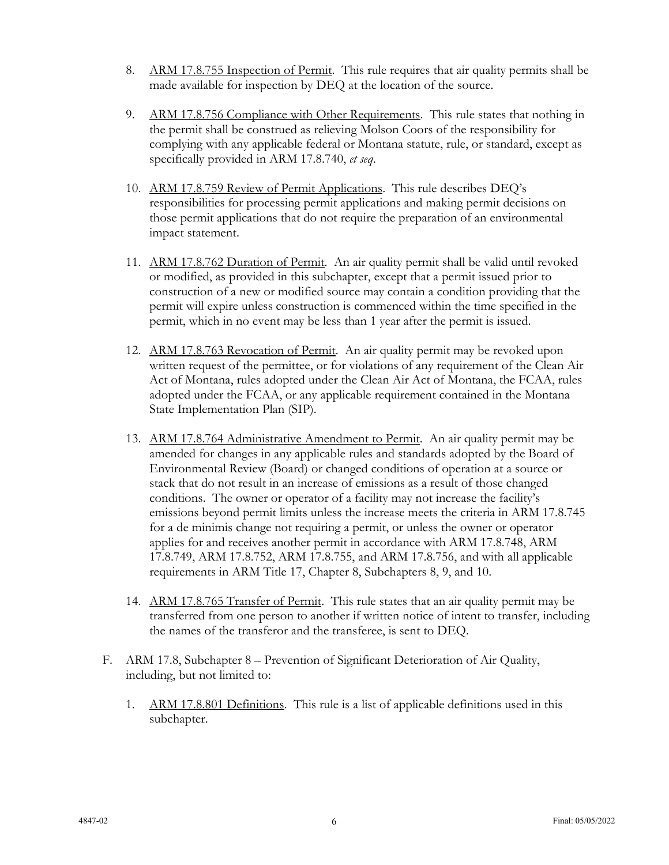- 8. ARM 17.8.755 Inspection of Permit. This rule requires that air quality permits shall be made available for inspection by DEQ at the location of the source.
- 9. ARM 17.8.756 Compliance with Other Requirements. This rule states that nothing in the permit shall be construed as relieving Molson Coors of the responsibility for complying with any applicable federal or Montana statute, rule, or standard, except as specifically provided in ARM 17.8.740, *et seq*.
- 10. ARM 17.8.759 Review of Permit Applications. This rule describes DEQ's responsibilities for processing permit applications and making permit decisions on those permit applications that do not require the preparation of an environmental impact statement.
- 11. ARM 17.8.762 Duration of Permit. An air quality permit shall be valid until revoked or modified, as provided in this subchapter, except that a permit issued prior to construction of a new or modified source may contain a condition providing that the permit will expire unless construction is commenced within the time specified in the permit, which in no event may be less than 1 year after the permit is issued.
- 12. ARM 17.8.763 Revocation of Permit. An air quality permit may be revoked upon written request of the permittee, or for violations of any requirement of the Clean Air Act of Montana, rules adopted under the Clean Air Act of Montana, the FCAA, rules adopted under the FCAA, or any applicable requirement contained in the Montana State Implementation Plan (SIP).
- 13. ARM 17.8.764 Administrative Amendment to Permit. An air quality permit may be amended for changes in any applicable rules and standards adopted by the Board of Environmental Review (Board) or changed conditions of operation at a source or stack that do not result in an increase of emissions as a result of those changed conditions. The owner or operator of a facility may not increase the facility's emissions beyond permit limits unless the increase meets the criteria in ARM 17.8.745 for a de minimis change not requiring a permit, or unless the owner or operator applies for and receives another permit in accordance with ARM 17.8.748, ARM 17.8.749, ARM 17.8.752, ARM 17.8.755, and ARM 17.8.756, and with all applicable requirements in ARM Title 17, Chapter 8, Subchapters 8, 9, and 10.
- 14. ARM 17.8.765 Transfer of Permit. This rule states that an air quality permit may be transferred from one person to another if written notice of intent to transfer, including the names of the transferor and the transferee, is sent to DEQ.
- F. ARM 17.8, Subchapter 8 Prevention of Significant Deterioration of Air Quality, including, but not limited to:
	- 1. ARM 17.8.801 Definitions. This rule is a list of applicable definitions used in this subchapter.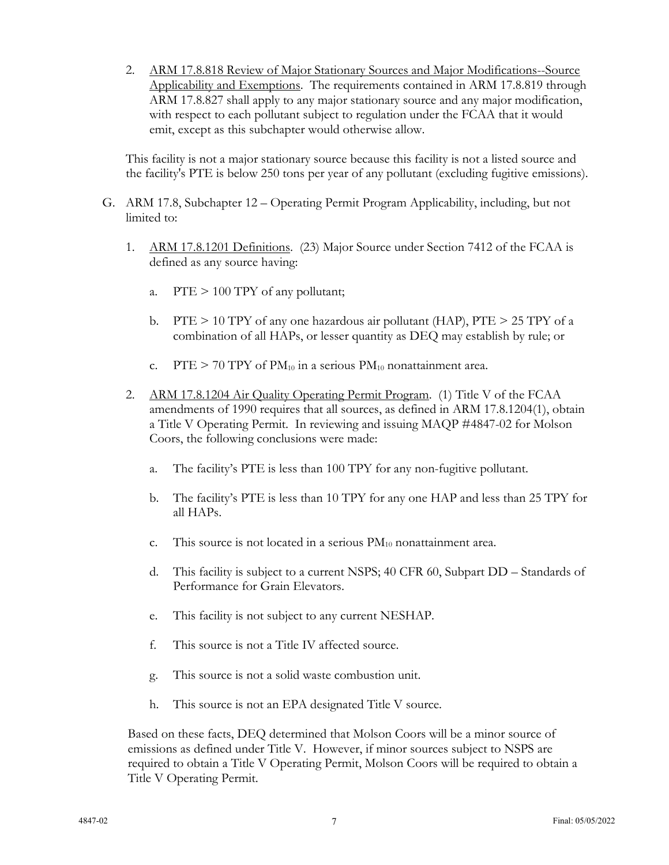2. ARM 17.8.818 Review of Major Stationary Sources and Major Modifications--Source Applicability and Exemptions. The requirements contained in ARM 17.8.819 through ARM 17.8.827 shall apply to any major stationary source and any major modification, with respect to each pollutant subject to regulation under the FCAA that it would emit, except as this subchapter would otherwise allow.

This facility is not a major stationary source because this facility is not a listed source and the facility's PTE is below 250 tons per year of any pollutant (excluding fugitive emissions).

- G. ARM 17.8, Subchapter 12 Operating Permit Program Applicability, including, but not limited to:
	- 1. ARM 17.8.1201 Definitions. (23) Major Source under Section 7412 of the FCAA is defined as any source having:
		- a. PTE > 100 TPY of any pollutant;
		- b. PTE  $> 10$  TPY of any one hazardous air pollutant (HAP), PTE  $> 25$  TPY of a combination of all HAPs, or lesser quantity as DEQ may establish by rule; or
		- c. PTE > 70 TPY of PM<sub>10</sub> in a serious PM<sub>10</sub> nonattainment area.
	- 2. ARM 17.8.1204 Air Quality Operating Permit Program. (1) Title V of the FCAA amendments of 1990 requires that all sources, as defined in ARM 17.8.1204(1), obtain a Title V Operating Permit. In reviewing and issuing MAQP #4847-02 for Molson Coors, the following conclusions were made:
		- a. The facility's PTE is less than 100 TPY for any non-fugitive pollutant.
		- b. The facility's PTE is less than 10 TPY for any one HAP and less than 25 TPY for all HAPs.
		- c. This source is not located in a serious  $PM_{10}$  nonattainment area.
		- d. This facility is subject to a current NSPS; 40 CFR 60, Subpart DD Standards of Performance for Grain Elevators.
		- e. This facility is not subject to any current NESHAP.
		- f. This source is not a Title IV affected source.
		- g. This source is not a solid waste combustion unit.
		- h. This source is not an EPA designated Title V source.

Based on these facts, DEQ determined that Molson Coors will be a minor source of emissions as defined under Title V. However, if minor sources subject to NSPS are required to obtain a Title V Operating Permit, Molson Coors will be required to obtain a Title V Operating Permit.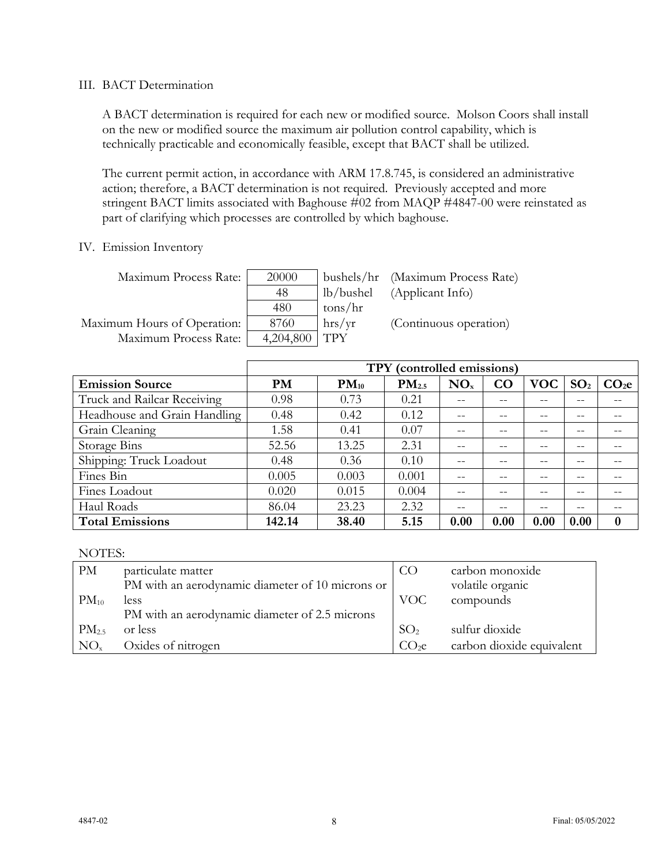#### III. BACT Determination

A BACT determination is required for each new or modified source. Molson Coors shall install on the new or modified source the maximum air pollution control capability, which is technically practicable and economically feasible, except that BACT shall be utilized.

The current permit action, in accordance with ARM 17.8.745, is considered an administrative action; therefore, a BACT determination is not required. Previously accepted and more stringent BACT limits associated with Baghouse #02 from MAQP #4847-00 were reinstated as part of clarifying which processes are controlled by which baghouse.

## IV. Emission Inventory

| Maximum Process Rate:       | 20000     |            | bushels/hr (Maximum Process Rate) |
|-----------------------------|-----------|------------|-----------------------------------|
|                             | 48        | lb/bushel  | (Applicant Info)                  |
|                             | 480       | tons/hr    |                                   |
| Maximum Hours of Operation: | 8760      | hrs/yr     | (Continuous operation)            |
| Maximum Process Rate:       | 4,204,800 | <b>TPY</b> |                                   |

|                              | TPY (controlled emissions) |           |            |          |       |            |                 |                 |
|------------------------------|----------------------------|-----------|------------|----------|-------|------------|-----------------|-----------------|
| <b>Emission Source</b>       | <b>PM</b>                  | $PM_{10}$ | $PM_{2.5}$ | $NO_{x}$ | CO    | <b>VOC</b> | SO <sub>2</sub> | CO <sub>2</sub> |
| Truck and Railcar Receiving  | 0.98                       | 0.73      | 0.21       | --       | $-$   |            |                 |                 |
| Headhouse and Grain Handling | 0.48                       | 0.42      | 0.12       | --       | --    |            |                 |                 |
| Grain Cleaning               | 1.58                       | 0.41      | 0.07       |          |       |            |                 |                 |
| Storage Bins                 | 52.56                      | 13.25     | 2.31       | --       | $- -$ |            |                 |                 |
| Shipping: Truck Loadout      | 0.48                       | 0.36      | 0.10       |          |       |            |                 |                 |
| Fines Bin                    | 0.005                      | 0.003     | 0.001      |          |       |            |                 |                 |
| Fines Loadout                | 0.020                      | 0.015     | 0.004      |          |       |            |                 |                 |
| Haul Roads                   | 86.04                      | 23.23     | 2.32       |          |       |            |                 |                 |
| <b>Total Emissions</b>       | 142.14                     | 38.40     | 5.15       | 0.00     | 0.00  | 0.00       | 0.00            | $\bf{0}$        |

#### NOTES:

| PM                | particulate matter                               | CO <sub>.</sub> | carbon monoxide           |
|-------------------|--------------------------------------------------|-----------------|---------------------------|
|                   | PM with an aerodynamic diameter of 10 microns or |                 | volatile organic          |
| $PM_{10}$         | less                                             | <b>VOC</b>      | compounds                 |
|                   | PM with an aerodynamic diameter of 2.5 microns   |                 |                           |
| PM <sub>2.5</sub> | or less                                          | SO <sub>2</sub> | sulfur dioxide            |
| $NO_{x}$          | Oxides of nitrogen                               | CO <sub>2</sub> | carbon dioxide equivalent |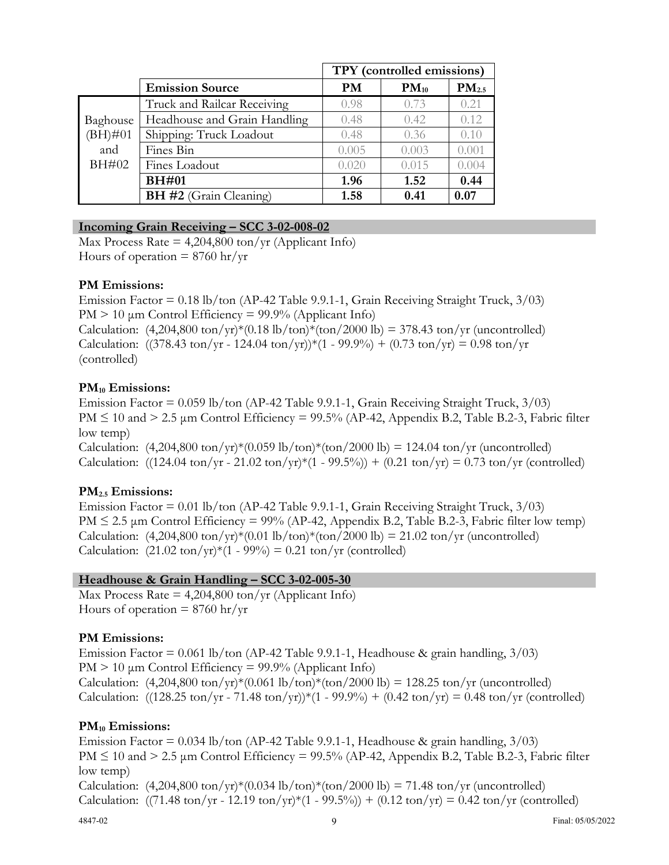|                          |                               | TPY (controlled emissions) |           |            |
|--------------------------|-------------------------------|----------------------------|-----------|------------|
|                          | <b>Emission Source</b>        | <b>PM</b>                  | $PM_{10}$ | $PM_{2.5}$ |
| Baghouse<br>$(BH) \# 01$ | Truck and Railcar Receiving   | 0.98                       | 0.73      | 0.21       |
|                          | Headhouse and Grain Handling  | 0.48                       | 0.42      | 0.12       |
|                          | Shipping: Truck Loadout       | 0.48                       | 0.36      | 0.10       |
| and                      | Fines Bin                     | 0.005                      | 0.003     | 0.001      |
| BH#02                    | Fines Loadout                 | 0.020                      | 0.015     | 0.004      |
|                          | <b>BH#01</b>                  | 1.96                       | 1.52      | 0.44       |
|                          | <b>BH</b> #2 (Grain Cleaning) | 1.58                       | 0.41      | 0.07       |

#### **Incoming Grain Receiving – SCC 3-02-008-02**

Max Process Rate =  $4,204,800$  ton/yr (Applicant Info) Hours of operation  $= 8760$  hr/yr

#### **PM Emissions:**

Emission Factor = 0.18 lb/ton (AP-42 Table 9.9.1-1, Grain Receiving Straight Truck, 3/03) PM  $> 10 \mu$ m Control Efficiency = 99.9% (Applicant Info) Calculation:  $(4,204,800 \text{ ton/yr})*(0.18 \text{ lb/ton})*(\text{ton/2000 lb}) = 378.43 \text{ ton/yr}$  (uncontrolled) Calculation: ((378.43 ton/yr - 124.04 ton/yr))\*(1 - 99.9%) + (0.73 ton/yr) = 0.98 ton/yr (controlled)

## **PM10 Emissions:**

Emission Factor =  $0.059$  lb/ton (AP-42 Table 9.9.1-1, Grain Receiving Straight Truck,  $3/03$ ) PM  $\leq$  10 and  $>$  2.5 µm Control Efficiency = 99.5% (AP-42, Appendix B.2, Table B.2-3, Fabric filter low temp)

Calculation:  $(4,204,800 \text{ ton/yr})*(0.059 \text{ lb/ton})*(\text{ton}/2000 \text{ lb}) = 124.04 \text{ ton/yr}$  (uncontrolled) Calculation:  $((124.04 \text{ ton/yr} - 21.02 \text{ ton/yr})*(1 - 99.5\%)) + (0.21 \text{ ton/yr}) = 0.73 \text{ ton/yr}$  (controlled)

## **PM2.5 Emissions:**

Emission Factor =  $0.01$  lb/ton (AP-42 Table 9.9.1-1, Grain Receiving Straight Truck,  $3/03$ ) PM  $\leq$  2.5 µm Control Efficiency = 99% (AP-42, Appendix B.2, Table B.2-3, Fabric filter low temp) Calculation:  $(4,204,800 \text{ ton/yr})*(0.01 \text{ lb/ton})*(\text{ton}/2000 \text{ lb}) = 21.02 \text{ ton/yr}$  (uncontrolled) Calculation:  $(21.02 \text{ ton/yr})*(1 - 99\%) = 0.21 \text{ ton/yr}$  (controlled)

## **Headhouse & Grain Handling – SCC 3-02-005-30**

Max Process Rate =  $4,204,800$  ton/yr (Applicant Info) Hours of operation  $= 8760$  hr/yr

#### **PM Emissions:**

Emission Factor =  $0.061$  lb/ton (AP-42 Table 9.9.1-1, Headhouse & grain handling,  $3/03$ ) PM  $> 10 \mu$ m Control Efficiency = 99.9% (Applicant Info) Calculation:  $(4,204,800 \text{ ton/yr})*(0.061 \text{ lb/ton})*(\text{ton}/2000 \text{ lb}) = 128.25 \text{ ton/yr}$  (uncontrolled) Calculation:  $((128.25 \text{ ton/yr} - 71.48 \text{ ton/yr}))*(1 - 99.9\%) + (0.42 \text{ ton/yr}) = 0.48 \text{ ton/yr}$  (controlled)

#### **PM10 Emissions:**

Emission Factor =  $0.034$  lb/ton (AP-42 Table 9.9.1-1, Headhouse & grain handling,  $3/03$ ) PM  $\leq$  10 and  $>$  2.5 µm Control Efficiency = 99.5% (AP-42, Appendix B.2, Table B.2-3, Fabric filter low temp) Calculation:  $(4,204,800 \text{ ton/yr})*(0.034 \text{ lb/ton})*(\text{ton}/2000 \text{ lb}) = 71.48 \text{ ton/yr}$  (uncontrolled)

Calculation:  $((71.48 \text{ ton/yr} - 12.19 \text{ ton/yr})*(1 - 99.5\%)) + (0.12 \text{ ton/yr}) = 0.42 \text{ ton/yr}$  (controlled)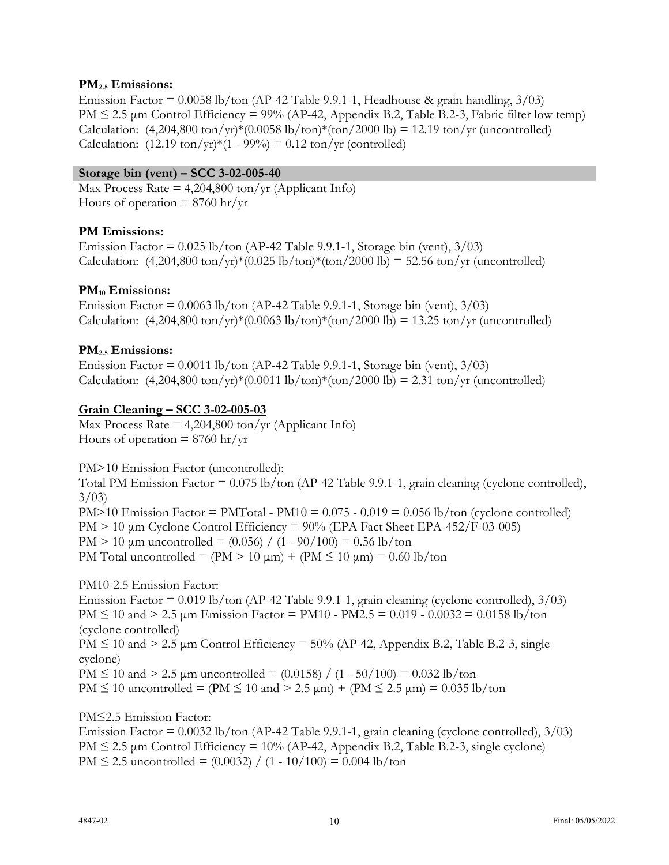## **PM2.5 Emissions:**

Emission Factor =  $0.0058$  lb/ton (AP-42 Table 9.9.1-1, Headhouse & grain handling,  $3/03$ ) PM  $\leq$  2.5 µm Control Efficiency = 99% (AP-42, Appendix B.2, Table B.2-3, Fabric filter low temp) Calculation:  $(4,204,800 \text{ ton/yr})*(0.0058 \text{ lb/ton})*(\text{ton}/2000 \text{ lb}) = 12.19 \text{ ton/yr}$  (uncontrolled) Calculation:  $(12.19 \text{ ton/yr})*(1 - 99\%) = 0.12 \text{ ton/yr}$  (controlled)

## **Storage bin (vent) – SCC 3-02-005-40**

Max Process Rate =  $4,204,800$  ton/yr (Applicant Info) Hours of operation  $= 8760$  hr/yr

## **PM Emissions:**

Emission Factor =  $0.025$  lb/ton (AP-42 Table 9.9.1-1, Storage bin (vent),  $3/03$ ) Calculation:  $(4,204,800 \text{ ton/yr})*(0.025 \text{ lb/ton})*(\text{ton}/2000 \text{ lb}) = 52.56 \text{ ton/yr}$  (uncontrolled)

## **PM10 Emissions:**

Emission Factor =  $0.0063$  lb/ton (AP-42 Table 9.9.1-1, Storage bin (vent),  $3/03$ ) Calculation:  $(4,204,800 \text{ ton/yr})*(0.0063 \text{ lb/ton})*(\text{ton}/2000 \text{ lb}) = 13.25 \text{ ton/yr}$  (uncontrolled)

## **PM2.5 Emissions:**

Emission Factor =  $0.0011$  lb/ton (AP-42 Table 9.9.1-1, Storage bin (vent),  $3/03$ ) Calculation:  $(4,204,800 \text{ ton/yr})*(0.0011 \text{ lb/ton})*(\text{ton}/2000 \text{ lb}) = 2.31 \text{ ton/yr (uncontrolled)}$ 

## **Grain Cleaning – SCC 3-02-005-03**

Max Process Rate =  $4,204,800$  ton/yr (Applicant Info) Hours of operation  $= 8760$  hr/yr

PM>10 Emission Factor (uncontrolled): Total PM Emission Factor = 0.075 lb/ton (AP-42 Table 9.9.1-1, grain cleaning (cyclone controlled),  $3/(03)$ PM $>10$  Emission Factor = PMTotal - PM $10 = 0.075 - 0.019 = 0.056$  lb/ton (cyclone controlled)  $PM > 10 \mu m$  Cyclone Control Efficiency =  $90\%$  (EPA Fact Sheet EPA-452/F-03-005) PM  $> 10 \mu$ m uncontrolled = (0.056) / (1 - 90/100) = 0.56 lb/ton PM Total uncontrolled =  $(PM > 10 \mu m) + (PM \le 10 \mu m) = 0.60 \text{ lb/ton}$ 

PM10-2.5 Emission Factor:

Emission Factor =  $0.019$  lb/ton (AP-42 Table 9.9.1-1, grain cleaning (cyclone controlled),  $3/03$ ) PM  $\leq$  10 and  $>$  2.5 µm Emission Factor = PM10 - PM2.5 = 0.019 - 0.0032 = 0.0158 lb/ton (cyclone controlled) PM  $\leq$  10 and  $>$  2.5 µm Control Efficiency = 50% (AP-42, Appendix B.2, Table B.2-3, single cyclone) PM  $\leq$  10 and  $>$  2.5 µm uncontrolled = (0.0158) / (1 - 50/100) = 0.032 lb/ton  $PM \le 10$  uncontrolled = (PM  $\le 10$  and  $> 2.5 \mu m$ ) + (PM  $\le 2.5 \mu m$ ) = 0.035 lb/ton

PM≤2.5 Emission Factor: Emission Factor =  $0.0032$  lb/ton (AP-42 Table 9.9.1-1, grain cleaning (cyclone controlled),  $3/03$ )  $PM \le 2.5 \text{ µm}$  Control Efficiency = 10% (AP-42, Appendix B.2, Table B.2-3, single cyclone) PM  $\leq$  2.5 uncontrolled = (0.0032) / (1 - 10/100) = 0.004 lb/ton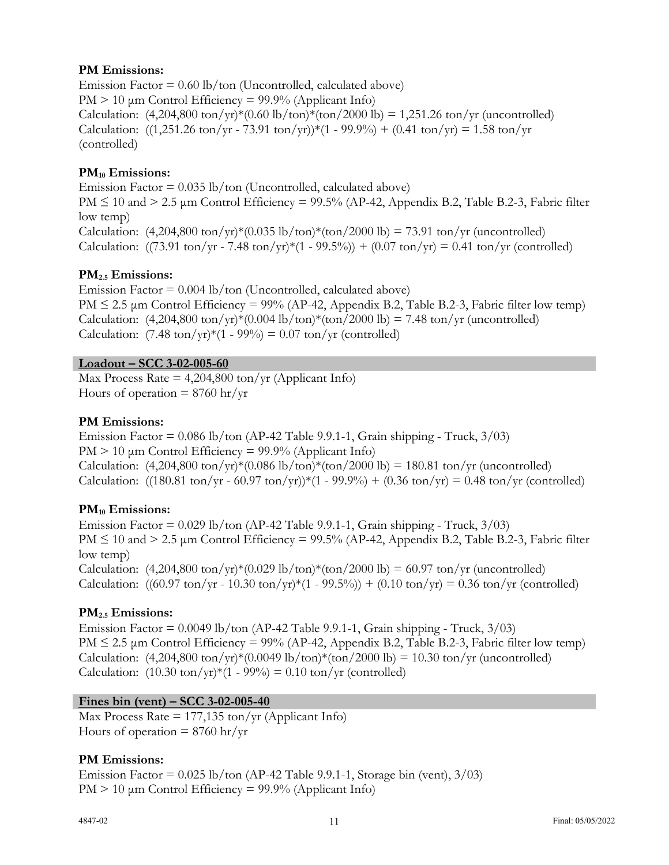## **PM Emissions:**

Emission Factor =  $0.60$  lb/ton (Uncontrolled, calculated above) PM  $> 10 \mu$ m Control Efficiency = 99.9% (Applicant Info) Calculation:  $(4,204,800 \text{ ton/yr})*(0.60 \text{ lb/ton})*(\text{ton}/2000 \text{ lb}) = 1,251.26 \text{ ton/yr}$  (uncontrolled) Calculation: ((1,251.26 ton/yr - 73.91 ton/yr))\*(1 - 99.9%) + (0.41 ton/yr) = 1.58 ton/yr (controlled)

# **PM10 Emissions:**

Emission Factor  $= 0.035$  lb/ton (Uncontrolled, calculated above) PM  $\leq$  10 and  $>$  2.5 µm Control Efficiency = 99.5% (AP-42, Appendix B.2, Table B.2-3, Fabric filter low temp) Calculation:  $(4,204,800 \text{ ton/yr})*(0.035 \text{ lb/ton})*(\text{ton}/2000 \text{ lb}) = 73.91 \text{ ton/yr}$  (uncontrolled) Calculation: ((73.91 ton/yr - 7.48 ton/yr)\*(1 - 99.5%)) + (0.07 ton/yr) = 0.41 ton/yr (controlled)

#### **PM2.5 Emissions:**

Emission Factor  $= 0.004$  lb/ton (Uncontrolled, calculated above) PM  $\leq$  2.5 µm Control Efficiency = 99% (AP-42, Appendix B.2, Table B.2-3, Fabric filter low temp) Calculation:  $(4,204,800 \text{ ton/yr})*(0.004 \text{ lb/ton})*(\text{ton/2000 lb}) = 7.48 \text{ ton/yr}$  (uncontrolled) Calculation:  $(7.48 \text{ ton/yr})*(1 - 99\%) = 0.07 \text{ ton/yr}$  (controlled)

## **Loadout – SCC 3-02-005-60**

Max Process Rate =  $4,204,800$  ton/yr (Applicant Info) Hours of operation  $= 8760$  hr/yr

## **PM Emissions:**

Emission Factor =  $0.086$  lb/ton (AP-42 Table 9.9.1-1, Grain shipping - Truck,  $3/03$ ) PM  $> 10 \mu$ m Control Efficiency = 99.9% (Applicant Info) Calculation:  $(4,204,800 \text{ ton/yr})*(0.086 \text{ lb/ton})*(\text{ton}/2000 \text{ lb}) = 180.81 \text{ ton/yr}$  (uncontrolled) Calculation: ((180.81 ton/yr - 60.97 ton/yr))\*(1 - 99.9%) + (0.36 ton/yr) = 0.48 ton/yr (controlled)

## **PM10 Emissions:**

Emission Factor =  $0.029$  lb/ton (AP-42 Table 9.9.1-1, Grain shipping - Truck,  $3/03$ ) PM  $\leq$  10 and  $>$  2.5 µm Control Efficiency = 99.5% (AP-42, Appendix B.2, Table B.2-3, Fabric filter low temp) Calculation:  $(4,204,800 \text{ ton/yr})*(0.029 \text{ lb/ton})*(\text{ton}/2000 \text{ lb}) = 60.97 \text{ ton/yr}$  (uncontrolled) Calculation: ((60.97 ton/yr - 10.30 ton/yr)\*(1 - 99.5%)) + (0.10 ton/yr) = 0.36 ton/yr (controlled)

#### **PM2.5 Emissions:**

Emission Factor =  $0.0049$  lb/ton (AP-42 Table 9.9.1-1, Grain shipping - Truck,  $3/03$ ) PM  $\leq$  2.5 µm Control Efficiency = 99% (AP-42, Appendix B.2, Table B.2-3, Fabric filter low temp) Calculation:  $(4,204,800 \text{ ton/yr})*(0.0049 \text{ lb/ton})*(\text{ton}/2000 \text{ lb}) = 10.30 \text{ ton/yr}$  (uncontrolled) Calculation:  $(10.30 \text{ ton/yr})*(1 - 99\%) = 0.10 \text{ ton/yr}$  (controlled)

#### **Fines bin (vent) – SCC 3-02-005-40**

Max Process Rate =  $177,135$  ton/yr (Applicant Info) Hours of operation  $= 8760$  hr/yr

## **PM Emissions:**

Emission Factor =  $0.025$  lb/ton (AP-42 Table 9.9.1-1, Storage bin (vent),  $3/03$ )  $PM > 10 \mu m$  Control Efficiency = 99.9% (Applicant Info)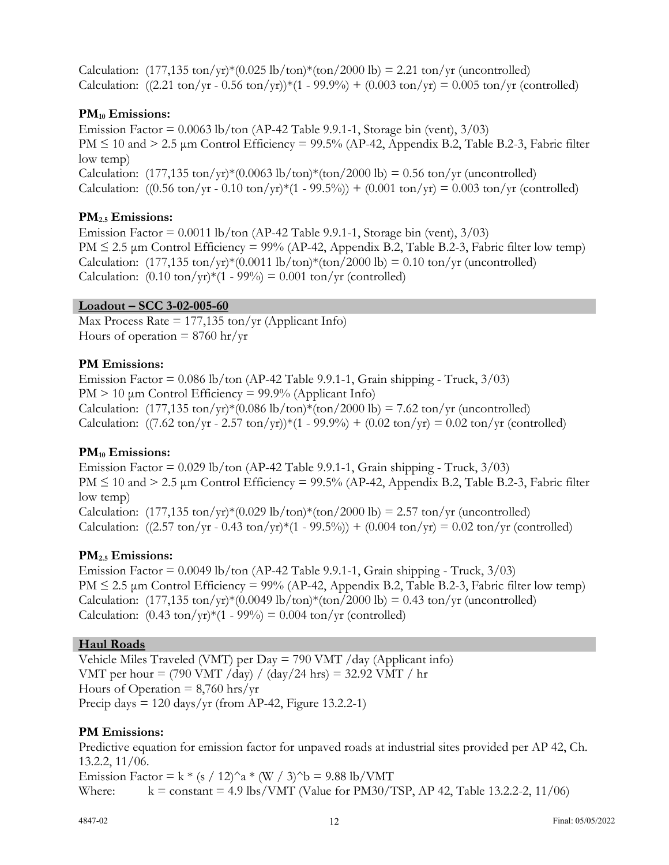Calculation:  $(177,135 \text{ ton/yr})*(0.025 \text{ lb/ton})*(\text{ton}/2000 \text{ lb}) = 2.21 \text{ ton/yr}$  (uncontrolled) Calculation:  $((2.21 \text{ ton/yr} - 0.56 \text{ ton/yr}))*(1 - 99.9\%) + (0.003 \text{ ton/yr}) = 0.005 \text{ ton/yr}$  (controlled)

# **PM10 Emissions:**

Emission Factor =  $0.0063$  lb/ton (AP-42 Table 9.9.1-1, Storage bin (vent),  $3/03$ ) PM  $\leq$  10 and  $>$  2.5 µm Control Efficiency = 99.5% (AP-42, Appendix B.2, Table B.2-3, Fabric filter low temp) Calculation:  $(177,135 \text{ ton/yr})*(0.0063 \text{ lb/ton})*(\text{ton}/2000 \text{ lb}) = 0.56 \text{ ton/yr}$  (uncontrolled) Calculation:  $((0.56 \text{ ton/yr} - 0.10 \text{ ton/yr})*(1 - 99.5\%)) + (0.001 \text{ ton/yr}) = 0.003 \text{ ton/yr}$  (controlled)

## **PM2.5 Emissions:**

Emission Factor =  $0.0011$  lb/ton (AP-42 Table 9.9.1-1, Storage bin (vent),  $3/03$ ) PM  $\leq$  2.5 µm Control Efficiency = 99% (AP-42, Appendix B.2, Table B.2-3, Fabric filter low temp) Calculation:  $(177,135 \text{ ton/yr})*(0.0011 \text{ lb/ton})*(\text{ton/2000 lb}) = 0.10 \text{ ton/yr}$  (uncontrolled) Calculation:  $(0.10 \text{ ton/yr})*(1 - 99\%) = 0.001 \text{ ton/yr}$  (controlled)

## **Loadout – SCC 3-02-005-60**

Max Process Rate =  $177,135$  ton/yr (Applicant Info) Hours of operation  $= 8760$  hr/yr

## **PM Emissions:**

Emission Factor =  $0.086$  lb/ton (AP-42 Table 9.9.1-1, Grain shipping - Truck,  $3/03$ ) PM  $> 10 \mu$ m Control Efficiency = 99.9% (Applicant Info) Calculation:  $(177,135 \text{ ton/yr})*(0.086 \text{ lb/ton})*(\text{ton}/2000 \text{ lb}) = 7.62 \text{ ton/yr}$  (uncontrolled) Calculation:  $((7.62 \text{ ton/yr} - 2.57 \text{ ton/yr}))*(1 - 99.9\%) + (0.02 \text{ ton/yr}) = 0.02 \text{ ton/yr}$  (controlled)

## **PM10 Emissions:**

Emission Factor =  $0.029$  lb/ton (AP-42 Table 9.9.1-1, Grain shipping - Truck,  $3/03$ ) PM  $\leq$  10 and  $>$  2.5 µm Control Efficiency = 99.5% (AP-42, Appendix B.2, Table B.2-3, Fabric filter low temp) Calculation:  $(177,135 \text{ ton/yr})*(0.029 \text{ lb/ton})*(\text{ton}/2000 \text{ lb}) = 2.57 \text{ ton/yr}$  (uncontrolled) Calculation:  $((2.57 \text{ ton/yr} - 0.43 \text{ ton/yr})*(1 - 99.5\%)) + (0.004 \text{ ton/yr}) = 0.02 \text{ ton/yr}$  (controlled)

# **PM2.5 Emissions:**

Emission Factor =  $0.0049$  lb/ton (AP-42 Table 9.9.1-1, Grain shipping - Truck,  $3/03$ ) PM  $\leq$  2.5 µm Control Efficiency = 99% (AP-42, Appendix B.2, Table B.2-3, Fabric filter low temp) Calculation:  $(177,135 \text{ ton/yr})*(0.0049 \text{ lb/ton})*(\text{ton}/2000 \text{ lb}) = 0.43 \text{ ton/yr}$  (uncontrolled) Calculation:  $(0.43 \text{ ton/yr})*(1 - 99\%) = 0.004 \text{ ton/yr}$  (controlled)

#### **Haul Roads**

Vehicle Miles Traveled (VMT) per Day = 790 VMT /day (Applicant info) VMT per hour = (790 VMT /day) / (day/24 hrs) = 32.92 VMT / hr Hours of Operation  $= 8,760$  hrs/yr Precip days  $= 120 \text{ days/yr (from AP-42, Figure 13.2.2-1)}$ 

## **PM Emissions:**

Predictive equation for emission factor for unpaved roads at industrial sites provided per AP 42, Ch. 13.2.2, 11/06. Emission Factor =  $k * (s / 12)^a a * (W / 3)^b = 9.88$  lb/VMT Where:  $k = \text{constant} = 4.9 \text{ lbs} / \text{VMT}$  (Value for PM30/TSP, AP 42, Table 13.2.2-2, 11/06)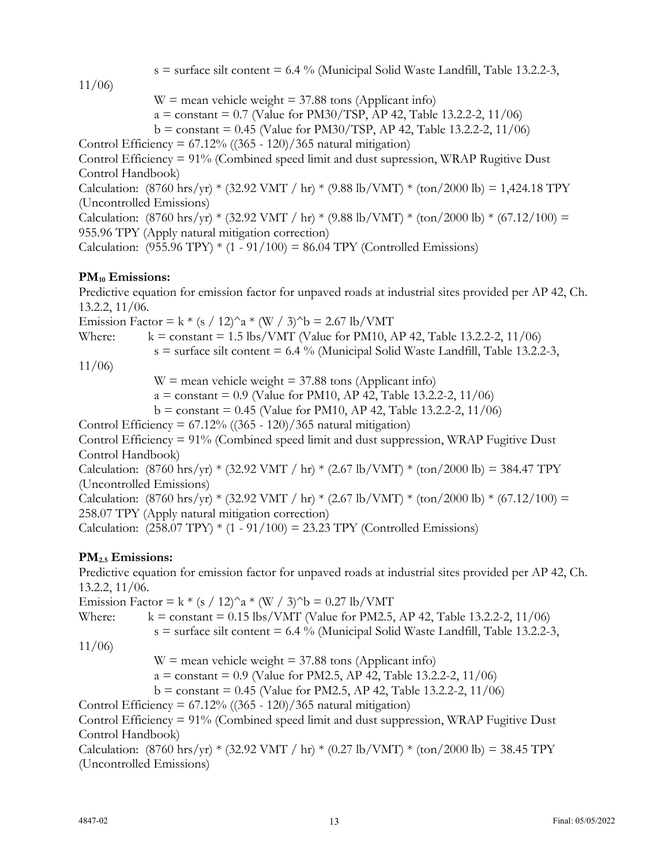$s =$  surface silt content = 6.4 % (Municipal Solid Waste Landfill, Table 13.2.2-3,

11/06)

 $W =$  mean vehicle weight  $= 37.88$  tons (Applicant info)  $a = constant = 0.7$  (Value for PM30/TSP, AP 42, Table 13.2.2-2, 11/06)  $b = constant = 0.45$  (Value for PM30/TSP, AP 42, Table 13.2.2-2, 11/06) Control Efficiency =  $67.12\%$  ((365 - 120)/365 natural mitigation) Control Efficiency = 91% (Combined speed limit and dust supression, WRAP Rugitive Dust Control Handbook) Calculation:  $(8760 \text{ hrs/yr}) * (32.92 \text{ VMT} / \text{hr}) * (9.88 \text{ lb/VMT}) * (\text{ton/2000 lb}) = 1,424.18 \text{ TPY}$ (Uncontrolled Emissions) Calculation:  $(8760 \text{ hrs/yr}) * (32.92 \text{ VMT} / \text{hr}) * (9.88 \text{ lb/VMT}) * (\text{ton} / 2000 \text{ lb}) * (67.12 / 100) =$ 955.96 TPY (Apply natural mitigation correction) Calculation:  $(955.96 \text{ TPY}) * (1 - 91/100) = 86.04 \text{ TPY}$  (Controlled Emissions) **PM10 Emissions:** Predictive equation for emission factor for unpaved roads at industrial sites provided per AP 42, Ch.

13.2.2, 11/06.

Emission Factor =  $k * (s / 12)^a a * (W / 3)^b = 2.67 lb / VMT$ 

Where:  $k = \text{constant} = 1.5 \text{ lbs} / \text{VMT}$  (Value for PM10, AP 42, Table 13.2.2-2, 11/06)  $s =$  surface silt content = 6.4 % (Municipal Solid Waste Landfill, Table 13.2.2-3,

11/06)

 $W =$  mean vehicle weight = 37.88 tons (Applicant info)

 $a = constant = 0.9$  (Value for PM10, AP 42, Table 13.2.2-2, 11/06)

 $b = constant = 0.45$  (Value for PM10, AP 42, Table 13.2.2-2, 11/06)

Control Efficiency =  $67.12\%$  ((365 - 120)/365 natural mitigation)

Control Efficiency  $= 91\%$  (Combined speed limit and dust suppression, WRAP Fugitive Dust Control Handbook)

Calculation:  $(8760 \text{ hrs/yr}) * (32.92 \text{ VMT} / \text{hr}) * (2.67 \text{ lb/VMT}) * (\text{ton/2000 lb}) = 384.47 \text{ TPY}$ (Uncontrolled Emissions)

Calculation:  $(8760 \text{ hrs/yr}) * (32.92 \text{ VMT} / \text{hr}) * (2.67 \text{ lb/VMT}) * (\text{ton/2000 lb}) * (67.12/100) =$ 258.07 TPY (Apply natural mitigation correction)

Calculation:  $(258.07 \text{ TPY}) * (1 - 91/100) = 23.23 \text{ TPY}$  (Controlled Emissions)

# **PM2.5 Emissions:**

Predictive equation for emission factor for unpaved roads at industrial sites provided per AP 42, Ch. 13.2.2, 11/06.

Emission Factor =  $k * (s / 12)^a a * (W / 3)^b = 0.27 lb/VMT$ Where:  $k = constant = 0.15$  lbs/VMT (Value for PM2.5, AP 42, Table 13.2.2-2, 11/06)  $s =$  surface silt content = 6.4 % (Municipal Solid Waste Landfill, Table 13.2.2-3, 11/06)  $W =$  mean vehicle weight = 37.88 tons (Applicant info)  $a = constant = 0.9$  (Value for PM2.5, AP 42, Table 13.2.2-2, 11/06)  $b = constant = 0.45$  (Value for PM2.5, AP 42, Table 13.2.2-2, 11/06) Control Efficiency =  $67.12\%$  ((365 - 120)/365 natural mitigation) Control Efficiency = 91% (Combined speed limit and dust suppression, WRAP Fugitive Dust Control Handbook)

Calculation:  $(8760 \text{ hrs/yr}) * (32.92 \text{ WMT} / \text{hr}) * (0.27 \text{ lb/WTT}) * (\text{ton/2000 lb}) = 38.45 \text{ TPY}$ (Uncontrolled Emissions)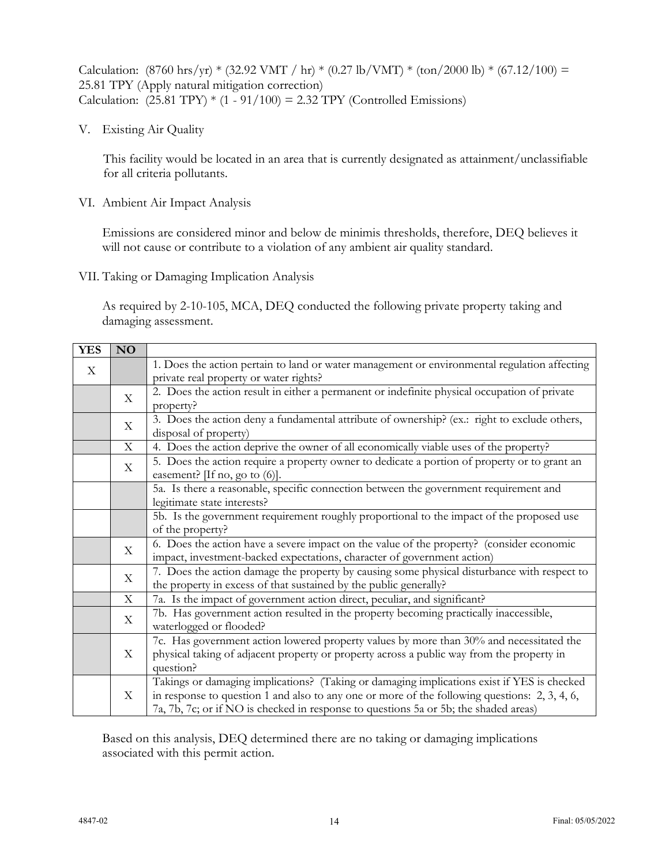Calculation:  $(8760 \text{ hrs/yr}) * (32.92 \text{ VMT} / \text{hr}) * (0.27 \text{ lb/VMT}) * (\text{ton/2000 lb}) * (67.12/100) =$ 25.81 TPY (Apply natural mitigation correction) Calculation:  $(25.81 \text{ TPY}) * (1 - 91/100) = 2.32 \text{ TPY}$  (Controlled Emissions)

V. Existing Air Quality

This facility would be located in an area that is currently designated as attainment/unclassifiable for all criteria pollutants.

VI. Ambient Air Impact Analysis

Emissions are considered minor and below de minimis thresholds, therefore, DEQ believes it will not cause or contribute to a violation of any ambient air quality standard.

VII. Taking or Damaging Implication Analysis

As required by 2-10-105, MCA, DEQ conducted the following private property taking and damaging assessment.

| <b>YES</b> | <b>NO</b>   |                                                                                                  |
|------------|-------------|--------------------------------------------------------------------------------------------------|
| X          |             | 1. Does the action pertain to land or water management or environmental regulation affecting     |
|            |             | private real property or water rights?                                                           |
|            | X           | 2. Does the action result in either a permanent or indefinite physical occupation of private     |
|            |             | property?                                                                                        |
|            | X           | 3. Does the action deny a fundamental attribute of ownership? (ex.: right to exclude others,     |
|            |             | disposal of property)                                                                            |
|            | X           | 4. Does the action deprive the owner of all economically viable uses of the property?            |
|            | X           | 5. Does the action require a property owner to dedicate a portion of property or to grant an     |
|            |             | easement? [If no, go to $(6)$ ].                                                                 |
|            |             | 5a. Is there a reasonable, specific connection between the government requirement and            |
|            |             | legitimate state interests?                                                                      |
|            |             | 5b. Is the government requirement roughly proportional to the impact of the proposed use         |
|            |             | of the property?                                                                                 |
|            | X           | 6. Does the action have a severe impact on the value of the property? (consider economic         |
|            |             | impact, investment-backed expectations, character of government action)                          |
|            | $\mathbf X$ | 7. Does the action damage the property by causing some physical disturbance with respect to      |
|            |             | the property in excess of that sustained by the public generally?                                |
|            | X           | 7a. Is the impact of government action direct, peculiar, and significant?                        |
|            | X           | 7b. Has government action resulted in the property becoming practically inaccessible,            |
|            |             | waterlogged or flooded?                                                                          |
|            | X           | 7c. Has government action lowered property values by more than 30% and necessitated the          |
|            |             | physical taking of adjacent property or property across a public way from the property in        |
|            |             | question?                                                                                        |
|            | X           | Takings or damaging implications? (Taking or damaging implications exist if YES is checked       |
|            |             | in response to question 1 and also to any one or more of the following questions: $2, 3, 4, 6$ , |
|            |             | 7a, 7b, 7c; or if NO is checked in response to questions 5a or 5b; the shaded areas)             |

Based on this analysis, DEQ determined there are no taking or damaging implications associated with this permit action.